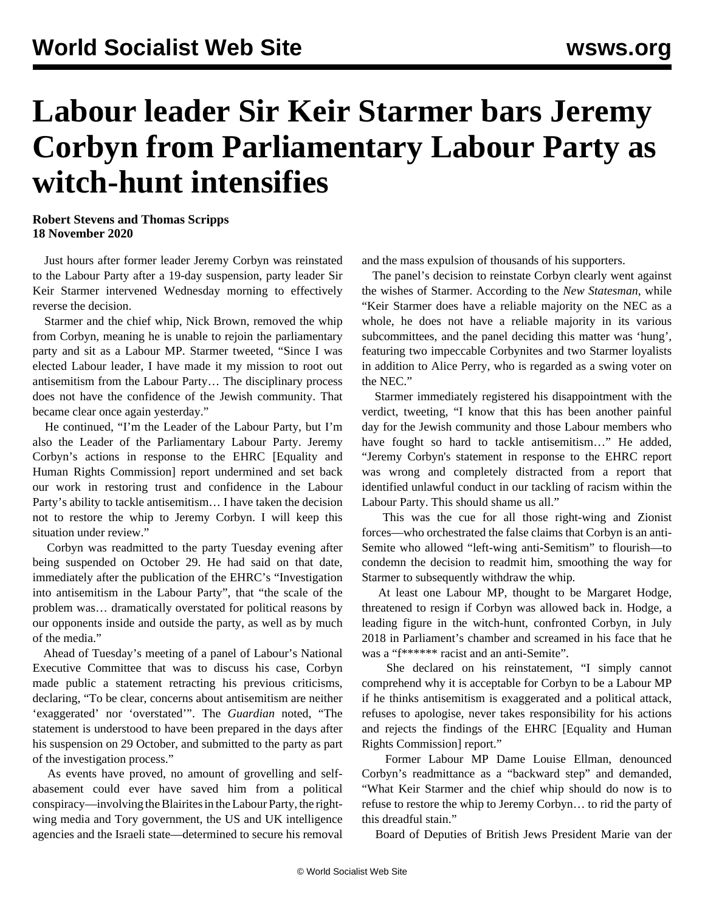## **Labour leader Sir Keir Starmer bars Jeremy Corbyn from Parliamentary Labour Party as witch-hunt intensifies**

## **Robert Stevens and Thomas Scripps 18 November 2020**

 Just hours after former leader Jeremy Corbyn was reinstated to the Labour Party after a 19-day suspension, party leader Sir Keir Starmer intervened Wednesday morning to effectively reverse the decision.

 Starmer and the chief whip, Nick Brown, removed the whip from Corbyn, meaning he is unable to rejoin the parliamentary party and sit as a Labour MP. Starmer tweeted, "Since I was elected Labour leader, I have made it my mission to root out antisemitism from the Labour Party… The disciplinary process does not have the confidence of the Jewish community. That became clear once again yesterday."

 He continued, "I'm the Leader of the Labour Party, but I'm also the Leader of the Parliamentary Labour Party. Jeremy Corbyn's actions in response to the EHRC [Equality and Human Rights Commission] report undermined and set back our work in restoring trust and confidence in the Labour Party's ability to tackle antisemitism… I have taken the decision not to restore the whip to Jeremy Corbyn. I will keep this situation under review."

 Corbyn was readmitted to the party Tuesday evening after being suspended on October 29. He had said on that date, immediately after the publication of the EHRC's "Investigation into antisemitism in the Labour Party", that "the scale of the problem was… dramatically overstated for political reasons by our opponents inside and outside the party, as well as by much of the media."

 Ahead of Tuesday's meeting of a panel of Labour's National Executive Committee that was to discuss his case, Corbyn made public a statement retracting his previous criticisms, declaring, "To be clear, concerns about antisemitism are neither 'exaggerated' nor 'overstated'". The *Guardian* noted, "The statement is understood to have been prepared in the days after his suspension on 29 October, and submitted to the party as part of the investigation process."

 As events have proved, no amount of grovelling and selfabasement could ever have saved him from a political conspiracy—involving the Blairites in the Labour Party, the rightwing media and Tory government, the US and UK intelligence agencies and the Israeli state—determined to secure his removal

and the mass expulsion of thousands of his supporters.

 The panel's decision to reinstate Corbyn clearly went against the wishes of Starmer. According to the *New Statesman*, while "Keir Starmer does have a reliable majority on the NEC as a whole, he does not have a reliable majority in its various subcommittees, and the panel deciding this matter was 'hung', featuring two impeccable Corbynites and two Starmer loyalists in addition to Alice Perry, who is regarded as a swing voter on the NEC."

 Starmer immediately registered his disappointment with the verdict, tweeting, "I know that this has been another painful day for the Jewish community and those Labour members who have fought so hard to tackle antisemitism..." He added, "Jeremy Corbyn's statement in response to the EHRC report was wrong and completely distracted from a report that identified unlawful conduct in our tackling of racism within the Labour Party. This should shame us all."

 This was the cue for all those right-wing and Zionist forces—who orchestrated the false claims that Corbyn is an anti-Semite who allowed "left-wing anti-Semitism" to flourish—to condemn the decision to readmit him, smoothing the way for Starmer to subsequently withdraw the whip.

 At least one Labour MP, thought to be Margaret Hodge, threatened to resign if Corbyn was allowed back in. Hodge, a leading figure in the witch-hunt, confronted Corbyn, in July 2018 in Parliament's chamber and screamed in his face that he was a "f\*\*\*\*\*\* racist and an anti-Semite".

 She declared on his reinstatement, "I simply cannot comprehend why it is acceptable for Corbyn to be a Labour MP if he thinks antisemitism is exaggerated and a political attack, refuses to apologise, never takes responsibility for his actions and rejects the findings of the EHRC [Equality and Human Rights Commission] report."

 Former Labour MP Dame Louise Ellman, denounced Corbyn's readmittance as a "backward step" and demanded, "What Keir Starmer and the chief whip should do now is to refuse to restore the whip to Jeremy Corbyn… to rid the party of this dreadful stain."

Board of Deputies of British Jews President Marie van der